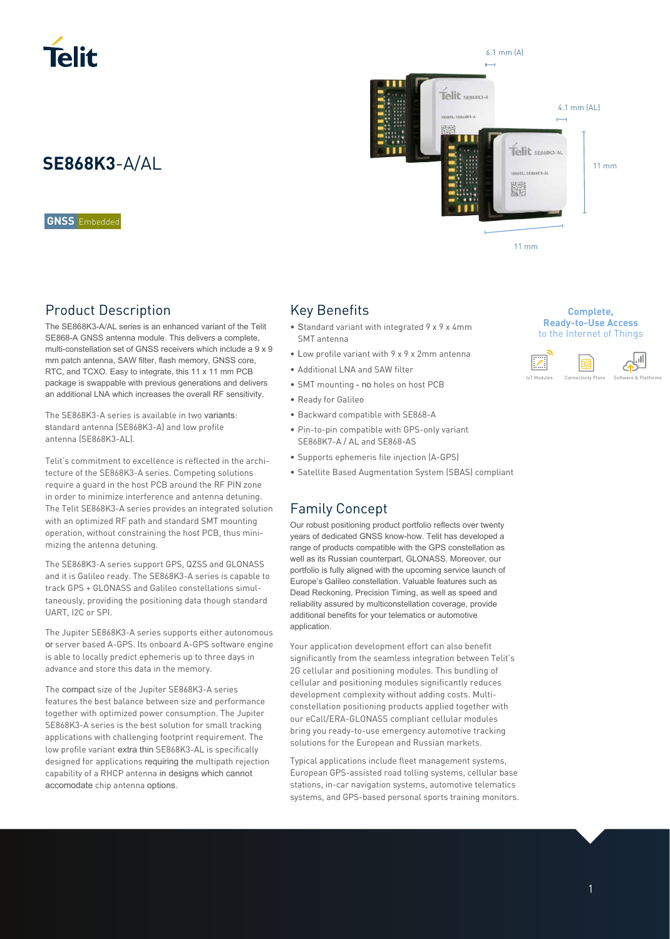

**GNSS** Embedded

### Product Description

The SE868K3-A/AL series is an enhanced variant of the Telit SE868-A GNSS antenna module. This delivers a complete, multi-constellation set of GNSS receivers which include a 9 x 9 mm patch antenna, SAW filter, flash memory, GNSS core, RTC, and TCXO. Easy to integrate, this 11 x 11 mm PCB package is swappable with previous generations and delivers an additional LNA which increases the overall RF sensitivity.

The SE868K3-A series is available in two variants: standard antenna (SE868K3-A) and low profile antenna (SE868K3-AL).

Telit's commitment to excellence is reflected in the architecture of the SE868K3-A series. Competing solutions require a guard in the host PCB around the RF PIN zone in order to minimize interference and antenna detuning. The Telit SE868K3-A series provides an integrated solution with an optimized RF path and standard SMT mounting operation, without constraining the host PCB, thus minimizing the antenna detuning.

The SE868K3-A series support GPS, QZSS and GLONASS and it is Galileo ready. The SE868K3-A series is capable to track GPS + GLONASS and Galileo constellations simultaneously, providing the positioning data though standard UART, I2C or SPI.

The Jupiter SE868K3-A series supports either autonomous or server based A-GPS. Its onboard A-GPS software engine is able to locally predict ephemeris up to three days in advance and store this data in the memory.

The compact size of the Jupiter SE868K3-A series features the best balance between size and performance together with optimized power consumption. The Jupiter SE868K3-A series is the best solution for small tracking applications with challenging footprint requirement. The low profile variant extra thin SE868K3-AL is specifically designed for applications requiring the multipath rejection capability of a RHCP antenna in designs which cannot accomodate chip antenna options.

# 6.1 mm (A) Telit SEB6BK3-A 4.1 mm (AL) **SE868K3**-A/AL 11 March 2008 11 March 2008 11 March 2008 12 March 2008 12 March 2008 12 March 2008 12 March 2010 ÿř 11 mm

### Key Benefits

- Standard variant with integrated 9 x 9 x 4mm SMT antenna
- Low profile variant with 9 x 9 x 2mm antenna
- Additional LNA and SAW filter
- SMT mounting no holes on host PCB
- Ready for Galileo
- Backward compatible with SE868-A
- Pin-to-pin compatible with GPS-only variant SE868K7-A / AL and SE868-AS
- Supports ephemeris file injection (A-GPS)
- Satellite Based Augmentation System (SBAS) compliant

### Family Concept

Our robust positioning product portfolio reflects over twenty years of dedicated GNSS know-how. Telit has developed a range of products compatible with the GPS constellation as well as its Russian counterpart, GLONASS. Moreover, our portfolio is fully aligned with the upcoming service launch of Europe's Galileo constellation. Valuable features such as Dead Reckoning, Precision Timing, as well as speed and reliability assured by multiconstellation coverage, provide additional benefits for your telematics or automotive application.

Your application development effort can also benefit significantly from the seamless integration between Telit's 2G cellular and positioning modules. This bundling of cellular and positioning modules significantly reduces development complexity without adding costs. Multiconstellation positioning products applied together with our eCall/ERA-GLONASS compliant cellular modules bring you ready-to-use emergency automotive tracking solutions for the European and Russian markets.

Typical applications include fleet management systems, European GPS-assisted road tolling systems, cellular base stations, in-car navigation systems, automotive telematics systems, and GPS-based personal sports training monitors.

### **Complete, Ready-to-Use Access**  to the Internet of Things